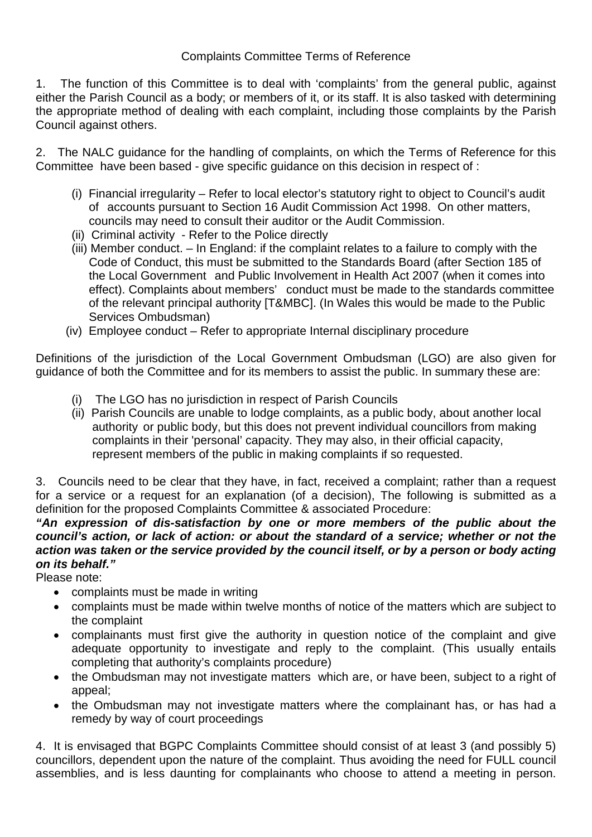Complaints Committee Terms of Reference

1. The function of this Committee is to deal with 'complaints' from the general public, against either the Parish Council as a body; or members of it, or its staff. It is also tasked with determining the appropriate method of dealing with each complaint, including those complaints by the Parish Council against others.

2. The NALC guidance for the handling of complaints, on which the Terms of Reference for this Committee have been based - give specific guidance on this decision in respect of :

- (i) Financial irregularity Refer to local elector's statutory right to object to Council's audit of accounts pursuant to Section 16 Audit Commission Act 1998. On other matters, councils may need to consult their auditor or the Audit Commission.
- (ii) Criminal activity Refer to the Police directly
- (iii) Member conduct. In England: if the complaint relates to a failure to comply with the Code of Conduct, this must be submitted to the Standards Board (after Section 185 of the Local Government and Public Involvement in Health Act 2007 (when it comes into effect). Complaints about members' conduct must be made to the standards committee of the relevant principal authority [T&MBC]. (In Wales this would be made to the Public Services Ombudsman)
- (iv) Employee conduct Refer to appropriate Internal disciplinary procedure

Definitions of the jurisdiction of the Local Government Ombudsman (LGO) are also given for guidance of both the Committee and for its members to assist the public. In summary these are:

- (i) The LGO has no jurisdiction in respect of Parish Councils
- (ii) Parish Councils are unable to lodge complaints, as a public body, about another local authority or public body, but this does not prevent individual councillors from making complaints in their 'personal' capacity. They may also, in their official capacity, represent members of the public in making complaints if so requested.

3. Councils need to be clear that they have, in fact, received a complaint; rather than a request for a service or a request for an explanation (of a decision), The following is submitted as a definition for the proposed Complaints Committee & associated Procedure:

## *"An expression of dis-satisfaction by one or more members of the public about the council's action, or lack of action: or about the standard of a service; whether or not the action was taken or the service provided by the council itself, or by a person or body acting on its behalf."*

Please note:

- complaints must be made in writing
- complaints must be made within twelve months of notice of the matters which are subject to the complaint
- complainants must first give the authority in question notice of the complaint and give adequate opportunity to investigate and reply to the complaint. (This usually entails completing that authority's complaints procedure)
- the Ombudsman may not investigate matters which are, or have been, subject to a right of appeal;
- the Ombudsman may not investigate matters where the complainant has, or has had a remedy by way of court proceedings

4. It is envisaged that BGPC Complaints Committee should consist of at least 3 (and possibly 5) councillors, dependent upon the nature of the complaint. Thus avoiding the need for FULL council assemblies, and is less daunting for complainants who choose to attend a meeting in person.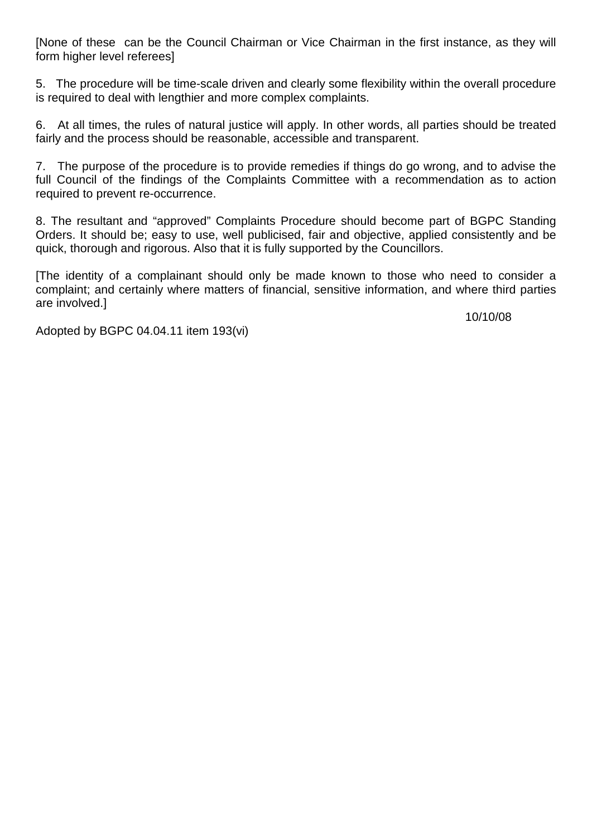[None of these can be the Council Chairman or Vice Chairman in the first instance, as they will form higher level referees]

5. The procedure will be time-scale driven and clearly some flexibility within the overall procedure is required to deal with lengthier and more complex complaints.

6. At all times, the rules of natural justice will apply. In other words, all parties should be treated fairly and the process should be reasonable, accessible and transparent.

7. The purpose of the procedure is to provide remedies if things do go wrong, and to advise the full Council of the findings of the Complaints Committee with a recommendation as to action required to prevent re-occurrence.

8. The resultant and "approved" Complaints Procedure should become part of BGPC Standing Orders. It should be; easy to use, well publicised, fair and objective, applied consistently and be quick, thorough and rigorous. Also that it is fully supported by the Councillors.

[The identity of a complainant should only be made known to those who need to consider a complaint; and certainly where matters of financial, sensitive information, and where third parties are involved.]

10/10/08

Adopted by BGPC 04.04.11 item 193(vi)